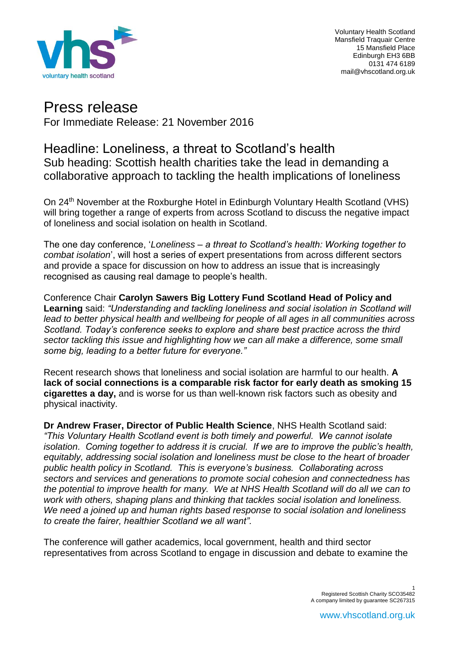

Voluntary Health Scotland Mansfield Traquair Centre 15 Mansfield Place Edinburgh EH3 6BB 0131 474 6189 mail@vhscotland.org.uk

# Press release

For Immediate Release: 21 November 2016

## Headline: Loneliness, a threat to Scotland's health Sub heading: Scottish health charities take the lead in demanding a collaborative approach to tackling the health implications of loneliness

On 24<sup>th</sup> November at the Roxburghe Hotel in Edinburgh Voluntary Health Scotland (VHS) will bring together a range of experts from across Scotland to discuss the negative impact of loneliness and social isolation on health in Scotland.

The one day conference, '*Loneliness – a threat to Scotland's health: Working together to combat isolation*', will host a series of expert presentations from across different sectors and provide a space for discussion on how to address an issue that is increasingly recognised as causing real damage to people's health.

Conference Chair **Carolyn Sawers Big Lottery Fund Scotland Head of Policy and Learning** said: *"Understanding and tackling loneliness and social isolation in Scotland will lead to better physical health and wellbeing for people of all ages in all communities across Scotland. Today's conference seeks to explore and share best practice across the third sector tackling this issue and highlighting how we can all make a difference, some small some big, leading to a better future for everyone."*

Recent research shows that loneliness and social isolation are harmful to our health. **A lack of social connections is a comparable risk factor for early death as smoking 15 cigarettes a day,** and is worse for us than well-known risk factors such as obesity and physical inactivity.

**Dr Andrew Fraser, Director of Public Health Science**, NHS Health Scotland said: *"This Voluntary Health Scotland event is both timely and powerful. We cannot isolate isolation. Coming together to address it is crucial. If we are to improve the public's health, equitably, addressing social isolation and loneliness must be close to the heart of broader public health policy in Scotland. This is everyone's business. Collaborating across sectors and services and generations to promote social cohesion and connectedness has the potential to improve health for many. We at NHS Health Scotland will do all we can to work with others, shaping plans and thinking that tackles social isolation and loneliness. We need a joined up and human rights based response to social isolation and loneliness to create the fairer, healthier Scotland we all want".* 

The conference will gather academics, local government, health and third sector representatives from across Scotland to engage in discussion and debate to examine the